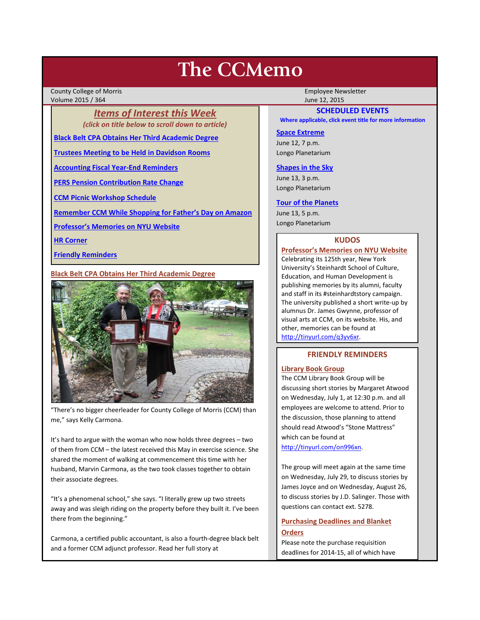# **The CCMemo**

County College of Morris **Employee Newsletter** Employee Newsletter Employee Newsletter Volume 2015 / 364 June 12, 2015

> *Items of Interest this Week (click on title below to scroll down to article)*

**[Black Belt CPA Obtains Her Third Academic Degree](#page-0-0)**

**[Trustees Meeting to be Held in Davidson Rooms](#page-1-0)**

**[Accounting Fiscal Year-End Reminders](#page-1-1)**

**[PERS Pension Contribution Rate Change](#page-1-2)**

**[CCM Picnic Workshop Schedule](#page-1-3)**

**[Remember CCM While Shopping for Father's Day on Amazon](#page-1-4)**

**[Professor's Memories on NYU Website](#page-0-1)**

**[HR Corner](#page-1-5)**

**[Friendly Reminders](#page-0-2)**

## <span id="page-0-0"></span>**Black Belt CPA Obtains Her Third Academic Degree**



"There's no bigger cheerleader for County College of Morris (CCM) than me," says Kelly Carmona.

It's hard to argue with the woman who now holds three degrees – two of them from CCM – the latest received this May in exercise science. She shared the moment of walking at commencement this time with her husband, Marvin Carmona, as the two took classes together to obtain their associate degrees.

"It's a phenomenal school," she says. "I literally grew up two streets away and was sleigh riding on the property before they built it. I've been there from the beginning."

Carmona, a certified public accountant, is also a fourth-degree black belt and a former CCM adjunct professor. Read her full story at

## **SCHEDULED EVENTS**

**Where applicable, click event title for more information**

#### **[Space Extreme](http://www.ccm.edu/newsEvents/eventDetails.aspx?Channel=/Channels/Sitewide&WorkflowItemID=1874a4b0-0bcb-4ed1-a29e-7b4f8d25e45d)**

June 12, 7 p.m. Longo Planetarium

#### **[Shapes in the Sky](http://www.ccm.edu/newsEvents/eventDetails.aspx?Channel=/Channels/Sitewide&WorkflowItemID=1922c928-86d3-4e75-b6a2-fd618033989c)**

June 13, 3 p.m. Longo Planetarium

#### **[Tour of the Planets](http://www.ccm.edu/newsEvents/eventDetails.aspx?Channel=/Channels/Sitewide&WorkflowItemID=5834aa20-68ba-4fa2-a3ac-75b2311ba441)**

June 13, 5 p.m. Longo Planetarium

## **KUDOS**

<span id="page-0-1"></span>**Professor's Memories on NYU Website** Celebrating its 125th year, New York University's Steinhardt School of Culture, Education, and Human Development is publishing memories by its alumni, faculty and staff in its #steinhardtstory campaign. The university published a short write-up by alumnus Dr. James Gwynne, professor of visual arts at CCM, on its website. His, and other, memories can be found at [http://tinyurl.com/q3yv6xr.](http://tinyurl.com/q3yv6xr)

## **FRIENDLY REMINDERS**

## <span id="page-0-2"></span>**Library Book Group**

The CCM Library Book Group will be discussing short stories by Margaret Atwood on Wednesday, July 1, at 12:30 p.m. and all employees are welcome to attend. Prior to the discussion, those planning to attend should read Atwood's "Stone Mattress" which can be found at

[http://tinyurl.com/on996xn.](http://tinyurl.com/on996xn)

The group will meet again at the same time on Wednesday, July 29, to discuss stories by James Joyce and on Wednesday, August 26, to discuss stories by J.D. Salinger. Those with questions can contact ext. 5278.

# **Purchasing Deadlines and Blanket Orders**

Please note the purchase requisition deadlines for 2014-15, all of which have